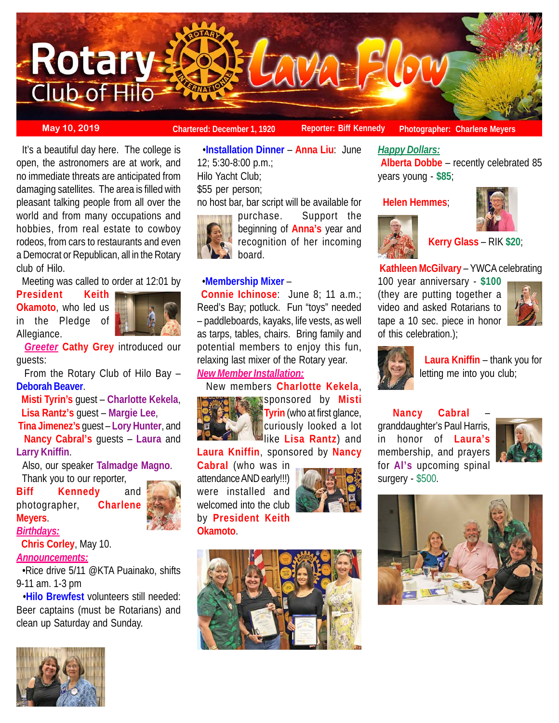

**May 10, 2019 Chartered: December 1, 1920** Reporter: Biff Kennedy Photographer: Charlene Meyers

 It's a beautiful day here. The college is open, the astronomers are at work, and no immediate threats are anticipated from damaging satellites. The area is filled with pleasant talking people from all over the world and from many occupations and hobbies, from real estate to cowboy rodeos, from cars to restaurants and even a Democrat or Republican, all in the Rotary club of Hilo.

Meeting was called to order at 12:01 by

**President Keith Okamoto**, who led us in the Pledge of Allegiance.



 *Greeter* **Cathy Grey** introduced our guests:

 From the Rotary Club of Hilo Bay – **Deborah Beaver**.

 **Misti Tyrin's** guest – **Charlotte Kekela**, **Lisa Rantz's** guest – **Margie Lee**,

**Tina Jimenez's** guest – **Lory Hunter**, and **Nancy Cabral's** guests – **Laura** and **Larry Kniffin**.

 Also, our speaker **Talmadge Magno**. Thank you to our reporter,

**Biff Kennedy** and photographer, **Charlene Meyers**.



*Birthdays:*

**Chris Corley**, May 10.

## *Announcements:*

 •Rice drive 5/11 @KTA Puainako, shifts 9-11 am. 1-3 pm

 •**Hilo Brewfest** volunteers still needed: Beer captains (must be Rotarians) and clean up Saturday and Sunday.



 •**Installation Dinner** – **Anna Liu**: June 12; 5:30-8:00 p.m.;

Hilo Yacht Club; \$55 per person;

no host bar, bar script will be available for



purchase. Support the beginning of **Anna's** year and recognition of her incoming board.

## •**Membership Mixer** –

**Connie Ichinose**: June 8; 11 a.m.; Reed's Bay; potluck. Fun "toys" needed – paddleboards, kayaks, life vests, as well as tarps, tables, chairs. Bring family and potential members to enjoy this fun, relaxing last mixer of the Rotary year.

# *New Member Installation:*

## New members **Charlotte Kekela**,



**Sponsored by Misti Tyrin** (who at first glance, curiously looked a lot like **Lisa Rantz**) and

**Laura Kniffin**, sponsored by **Nancy**

**Cabral** (who was in attendance AND early!!!) were installed and welcomed into the club by **President Keith Okamoto**.





## *Happy Dollars:*

**Alberta Dobbe** – recently celebrated 85 years young - **\$85**;

**Helen Hemmes**;





**Kerry Glass** – RIK **\$20**;

## **Kathleen McGilvary** – YWCA celebrating

100 year anniversary - **\$100** (they are putting together a video and asked Rotarians to tape a 10 sec. piece in honor of this celebration.);





 **Laura Kniffin** – thank you for letting me into you club;

**Nancy Cabral** – granddaughter's Paul Harris, in honor of **Laura's** membership, and prayers for **Al's** upcoming spinal surgery - \$500.